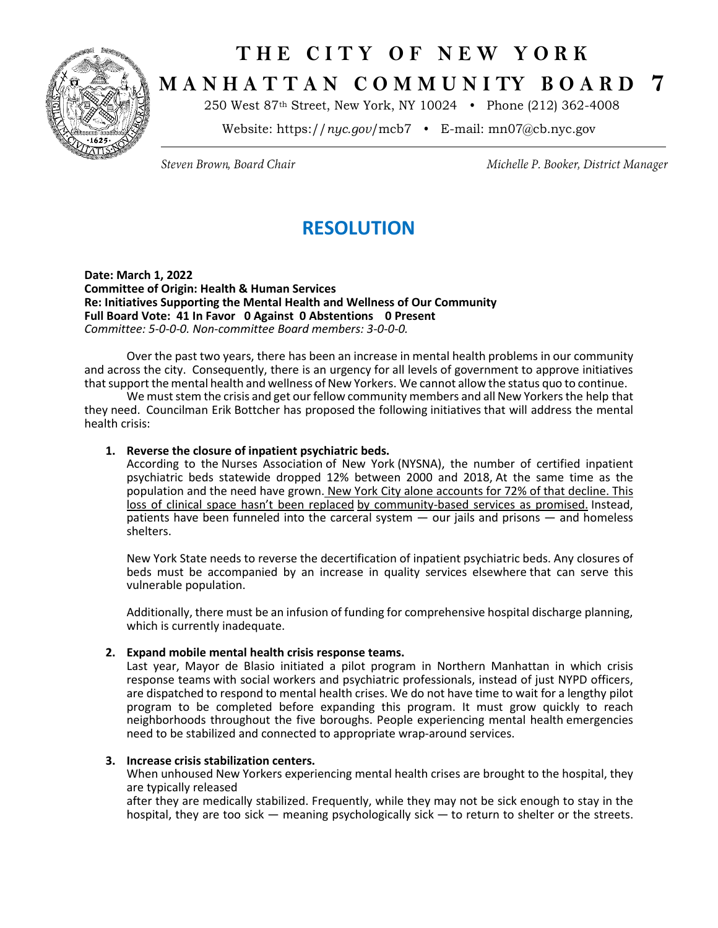

# **T H E C I T Y O F N E W Y O R K M A N H A T T A N C O M M U N I TY B O A R D 7**

250 West 87th Street, New York, NY 10024 • Phone (212) 362-4008

Website: https://*nyc.gov*/mcb7 • E-mail: [mn07@cb.nyc.gov](mailto:mn07@cb.nyc.gov)

Steven Brown, Board Chair

Michelle P. Booker, District Manager

## **RESOLUTION**

**Date: March 1, 2022 Committee of Origin: Health & Human Services Re: Initiatives Supporting the Mental Health and Wellness of Our Community Full Board Vote: 41 In Favor 0 Against 0 Abstentions 0 Present** *Committee: 5-0-0-0. Non-committee Board members: 3-0-0-0.*

Over the past two years, there has been an increase in mental health problems in our community and across the city. Consequently, there is an urgency for all levels of government to approve initiatives that support the mental health and wellness of New Yorkers. We cannot allow the status quo to continue.

We must stem the crisis and get our fellow community members and all New Yorkers the help that they need. Councilman Erik Bottcher has proposed the following initiatives that will address the mental health crisis:

#### **1. Reverse the closure of inpatient psychiatric beds.**

According to the Nurses Association of New York (NYSNA), the number of certified inpatient psychiatric beds statewide dropped 12% between 2000 and 2018, At the same time as the population and the need have grown. New York City alone [accounts](https://gcc02.safelinks.protection.outlook.com/?url=https%3A%2F%2Fwww.nysna.org%2Fsites%2Fdefault%2Ffiles%2Fattach%2Fajax%2F2020%2F08%2FPsych%2520Whitepaper%2520NYSNA.pdf&data=04%7C01%7Cynieves%40cb.nyc.gov%7C3ddc171cc8c44272376a08d9f7975b85%7C32f56fc75f814e22a95b15da66513bef%7C0%7C0%7C637813052295598125%7CUnknown%7CTWFpbGZsb3d8eyJWIjoiMC4wLjAwMDAiLCJQIjoiV2luMzIiLCJBTiI6Ik1haWwiLCJXVCI6Mn0%3D%7C3000&sdata=6%2B2CsM9k%2FLGpTSKEfmJIOUqreXMc3DrId8PydnyWQJI%3D&reserved=0) for 72% of that decline. This loss of clinical space hasn't been [replaced](https://gcc02.safelinks.protection.outlook.com/?url=https%3A%2F%2Fwww.nysna.org%2Fsites%2Fdefault%2Ffiles%2Fattach%2Fajax%2F2020%2F08%2FPsych%2520Whitepaper%2520NYSNA.pdf&data=04%7C01%7Cynieves%40cb.nyc.gov%7C3ddc171cc8c44272376a08d9f7975b85%7C32f56fc75f814e22a95b15da66513bef%7C0%7C0%7C637813052295598125%7CUnknown%7CTWFpbGZsb3d8eyJWIjoiMC4wLjAwMDAiLCJQIjoiV2luMzIiLCJBTiI6Ik1haWwiLCJXVCI6Mn0%3D%7C3000&sdata=6%2B2CsM9k%2FLGpTSKEfmJIOUqreXMc3DrId8PydnyWQJI%3D&reserved=0) by [community-based](https://gcc02.safelinks.protection.outlook.com/?url=https%3A%2F%2Fwww.nysna.org%2Fsites%2Fdefault%2Ffiles%2Fattach%2Fajax%2F2020%2F08%2FPsych%2520Whitepaper%2520NYSNA.pdf&data=04%7C01%7Cynieves%40cb.nyc.gov%7C3ddc171cc8c44272376a08d9f7975b85%7C32f56fc75f814e22a95b15da66513bef%7C0%7C0%7C637813052295598125%7CUnknown%7CTWFpbGZsb3d8eyJWIjoiMC4wLjAwMDAiLCJQIjoiV2luMzIiLCJBTiI6Ik1haWwiLCJXVCI6Mn0%3D%7C3000&sdata=6%2B2CsM9k%2FLGpTSKEfmJIOUqreXMc3DrId8PydnyWQJI%3D&reserved=0) services as promised. Instead, patients have been funneled into the carceral system — our jails and prisons — and homeless shelters.

New York State needs to reverse the decertification of inpatient psychiatric beds. Any closures of beds must be accompanied by an increase in quality services elsewhere that can serve this vulnerable population.

Additionally, there must be an infusion of funding for comprehensive hospital discharge planning, which is currently inadequate.

### **2. Expand mobile mental health crisis response teams.**

Last year, Mayor de Blasio initiated a pilot program in Northern Manhattan in which crisis response teams with social workers and psychiatric professionals, instead of just NYPD officers, are dispatched to respond to mental health crises. We do not have time to wait for a lengthy pilot program to be completed before expanding this program. It must grow quickly to reach neighborhoods throughout the five boroughs. People experiencing mental health emergencies need to be stabilized and connected to appropriate wrap-around services.

#### **3. Increase crisis stabilization centers.**

When unhoused New Yorkers experiencing mental health crises are brought to the hospital, they are typically released

after they are medically stabilized. Frequently, while they may not be sick enough to stay in the hospital, they are too sick — meaning psychologically sick — to return to shelter or the streets.